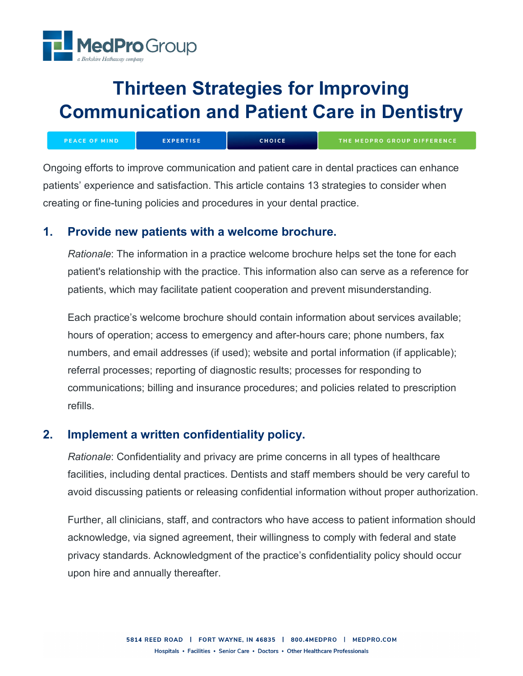

# **Thirteen Strategies for Improving Communication and Patient Care in Dentistry**

| <b>PEACE OF MIND</b> | <b>EXPERTISE</b> | <b>CHOICE</b> | <b>THE MEDPRO GROUP DIFFERENCE</b> |
|----------------------|------------------|---------------|------------------------------------|
|                      |                  |               |                                    |

Ongoing efforts to improve communication and patient care in dental practices can enhance patients' experience and satisfaction. This article contains 13 strategies to consider when creating or fine-tuning policies and procedures in your dental practice.

## **1. Provide new patients with a welcome brochure.**

*Rationale*: The information in a practice welcome brochure helps set the tone for each patient's relationship with the practice. This information also can serve as a reference for patients, which may facilitate patient cooperation and prevent misunderstanding.

Each practice's welcome brochure should contain information about services available; hours of operation; access to emergency and after-hours care; phone numbers, fax numbers, and email addresses (if used); website and portal information (if applicable); referral processes; reporting of diagnostic results; processes for responding to communications; billing and insurance procedures; and policies related to prescription refills.

# **2. Implement a written confidentiality policy.**

*Rationale*: Confidentiality and privacy are prime concerns in all types of healthcare facilities, including dental practices. Dentists and staff members should be very careful to avoid discussing patients or releasing confidential information without proper authorization.

Further, all clinicians, staff, and contractors who have access to patient information should acknowledge, via signed agreement, their willingness to comply with federal and state privacy standards. Acknowledgment of the practice's confidentiality policy should occur upon hire and annually thereafter.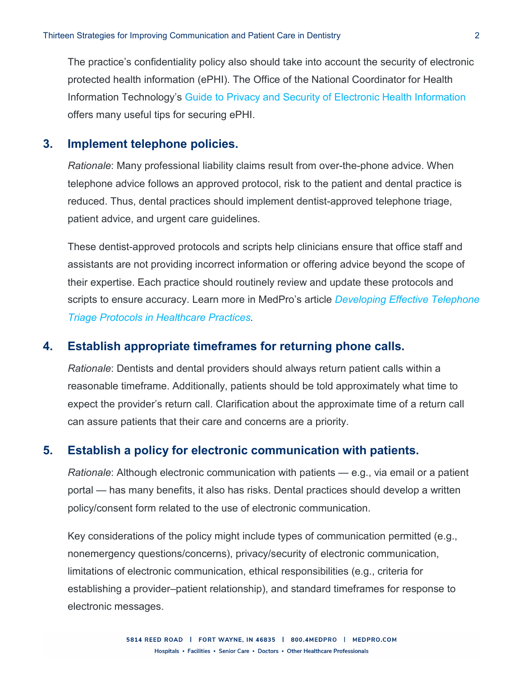The practice's confidentiality policy also should take into account the security of electronic protected health information (ePHI). The Office of the National Coordinator for Health Information Technology's [Guide to Privacy and Security of Electronic Health Information](https://www.healthit.gov/sites/default/files/pdf/privacy/privacy-and-security-guide.pdf) offers many useful tips for securing ePHI.

### **3. Implement telephone policies.**

*Rationale*: Many professional liability claims result from over-the-phone advice. When telephone advice follows an approved protocol, risk to the patient and dental practice is reduced. Thus, dental practices should implement dentist-approved telephone triage, patient advice, and urgent care guidelines.

These dentist-approved protocols and scripts help clinicians ensure that office staff and assistants are not providing incorrect information or offering advice beyond the scope of their expertise. Each practice should routinely review and update these protocols and scripts to ensure accuracy. Learn more in MedPro's article *[Developing Effective Telephone](https://www.medpro.com/documents/10502/2820774/Developing+Effective+Telephone+Policies+in+Healthcare+Practices.pdf)  [Triage Protocols in Healthcare Practices.](https://www.medpro.com/documents/10502/2820774/Developing+Effective+Telephone+Policies+in+Healthcare+Practices.pdf)*

#### **4. Establish appropriate timeframes for returning phone calls.**

*Rationale*: Dentists and dental providers should always return patient calls within a reasonable timeframe. Additionally, patients should be told approximately what time to expect the provider's return call. Clarification about the approximate time of a return call can assure patients that their care and concerns are a priority.

#### **5. Establish a policy for electronic communication with patients.**

*Rationale*: Although electronic communication with patients — e.g., via email or a patient portal — has many benefits, it also has risks. Dental practices should develop a written policy/consent form related to the use of electronic communication.

Key considerations of the policy might include types of communication permitted (e.g., nonemergency questions/concerns), privacy/security of electronic communication, limitations of electronic communication, ethical responsibilities (e.g., criteria for establishing a provider–patient relationship), and standard timeframes for response to electronic messages.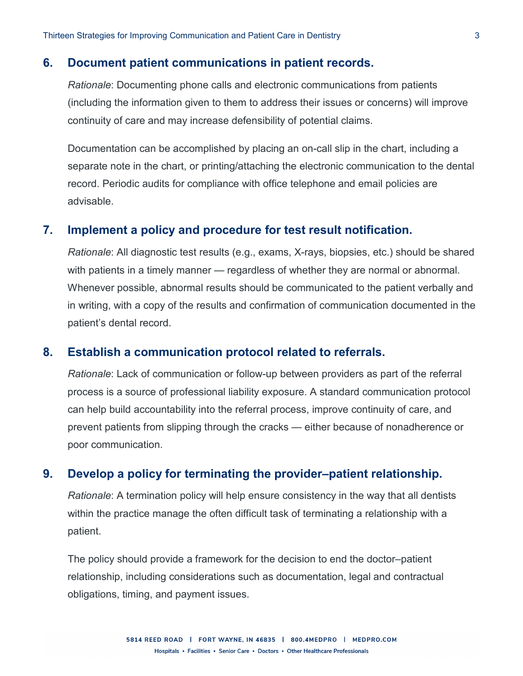#### **6. Document patient communications in patient records.**

*Rationale*: Documenting phone calls and electronic communications from patients (including the information given to them to address their issues or concerns) will improve continuity of care and may increase defensibility of potential claims.

Documentation can be accomplished by placing an on-call slip in the chart, including a separate note in the chart, or printing/attaching the electronic communication to the dental record. Periodic audits for compliance with office telephone and email policies are advisable.

#### **7. Implement a policy and procedure for test result notification.**

*Rationale*: All diagnostic test results (e.g., exams, X-rays, biopsies, etc.) should be shared with patients in a timely manner — regardless of whether they are normal or abnormal. Whenever possible, abnormal results should be communicated to the patient verbally and in writing, with a copy of the results and confirmation of communication documented in the patient's dental record.

#### **8. Establish a communication protocol related to referrals.**

*Rationale*: Lack of communication or follow-up between providers as part of the referral process is a source of professional liability exposure. A standard communication protocol can help build accountability into the referral process, improve continuity of care, and prevent patients from slipping through the cracks — either because of nonadherence or poor communication.

#### **9. Develop a policy for terminating the provider–patient relationship.**

*Rationale*: A termination policy will help ensure consistency in the way that all dentists within the practice manage the often difficult task of terminating a relationship with a patient.

The policy should provide a framework for the decision to end the doctor–patient relationship, including considerations such as documentation, legal and contractual obligations, timing, and payment issues.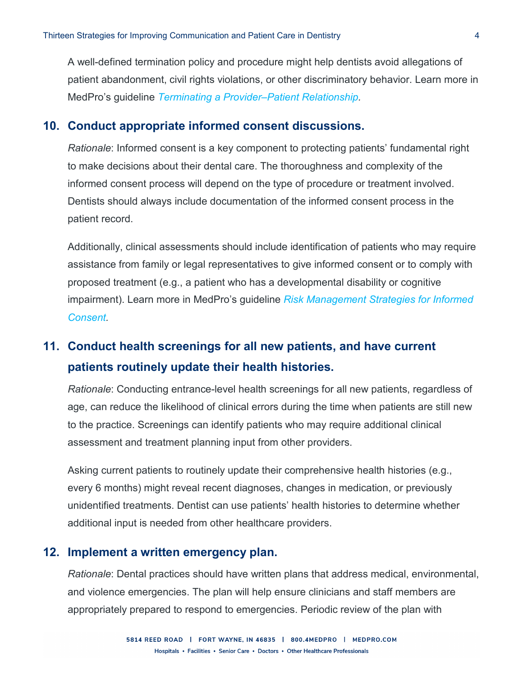A well-defined termination policy and procedure might help dentists avoid allegations of patient abandonment, civil rights violations, or other discriminatory behavior. Learn more in MedPro's guideline *[Terminating a Provider–Patient Relationship.](https://www.medpro.com/documents/10502/2837997/Guideline_Terminating+a+Provider-Patient+Relationship.pdf)*

#### **10. Conduct appropriate informed consent discussions.**

*Rationale*: Informed consent is a key component to protecting patients' fundamental right to make decisions about their dental care. The thoroughness and complexity of the informed consent process will depend on the type of procedure or treatment involved. Dentists should always include documentation of the informed consent process in the patient record.

Additionally, clinical assessments should include identification of patients who may require assistance from family or legal representatives to give informed consent or to comply with proposed treatment (e.g., a patient who has a developmental disability or cognitive impairment). Learn more in MedPro's guideline *[Risk Management Strategies for Informed](https://www.medpro.com/documents/10502/2837997/Guideline_Risk+Management+Strategies+for+Informed+Consent.pdf)  [Consent.](https://www.medpro.com/documents/10502/2837997/Guideline_Risk+Management+Strategies+for+Informed+Consent.pdf)*

# **11. Conduct health screenings for all new patients, and have current patients routinely update their health histories.**

*Rationale*: Conducting entrance-level health screenings for all new patients, regardless of age, can reduce the likelihood of clinical errors during the time when patients are still new to the practice. Screenings can identify patients who may require additional clinical assessment and treatment planning input from other providers.

Asking current patients to routinely update their comprehensive health histories (e.g., every 6 months) might reveal recent diagnoses, changes in medication, or previously unidentified treatments. Dentist can use patients' health histories to determine whether additional input is needed from other healthcare providers.

#### **12. Implement a written emergency plan.**

*Rationale*: Dental practices should have written plans that address medical, environmental, and violence emergencies. The plan will help ensure clinicians and staff members are appropriately prepared to respond to emergencies. Periodic review of the plan with